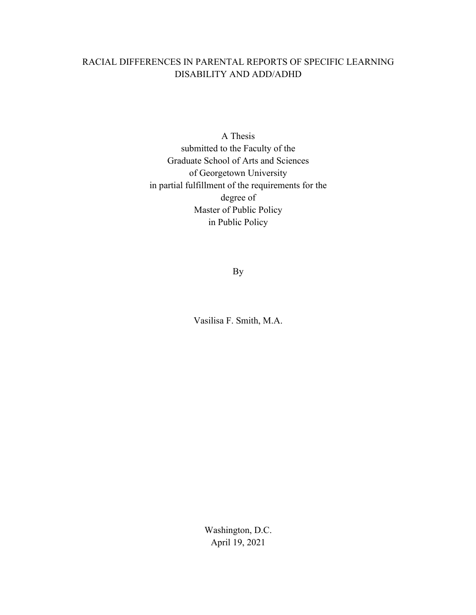# RACIAL DIFFERENCES IN PARENTAL REPORTS OF SPECIFIC LEARNING DISABILITY AND ADD/ADHD

A Thesis submitted to the Faculty of the Graduate School of Arts and Sciences of Georgetown University in partial fulfillment of the requirements for the degree of Master of Public Policy in Public Policy

By

Vasilisa F. Smith, M.A.

Washington, D.C. April 19, 2021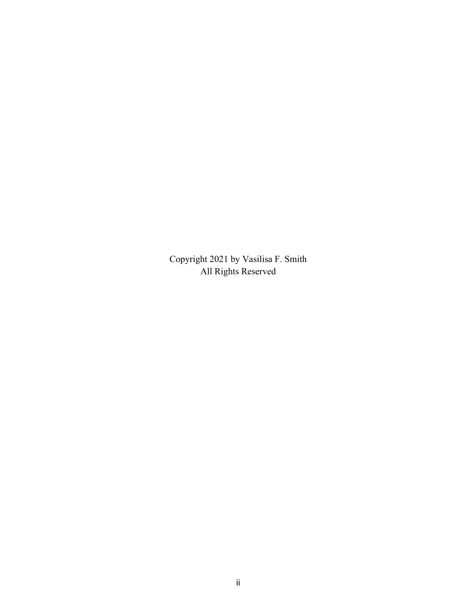Copyright 2021 by Vasilisa F. Smith All Rights Reserved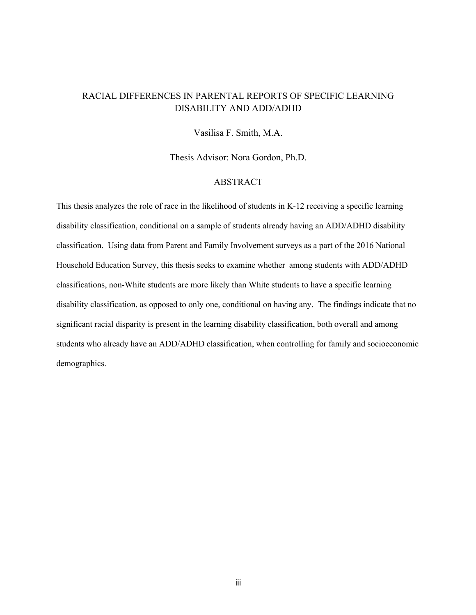## RACIAL DIFFERENCES IN PARENTAL REPORTS OF SPECIFIC LEARNING DISABILITY AND ADD/ADHD

Vasilisa F. Smith, M.A.

Thesis Advisor: Nora Gordon, Ph.D.

#### ABSTRACT

This thesis analyzes the role of race in the likelihood of students in K-12 receiving a specific learning disability classification, conditional on a sample of students already having an ADD/ADHD disability classification. Using data from Parent and Family Involvement surveys as a part of the 2016 National Household Education Survey, this thesis seeks to examine whether among students with ADD/ADHD classifications, non-White students are more likely than White students to have a specific learning disability classification, as opposed to only one, conditional on having any. The findings indicate that no significant racial disparity is present in the learning disability classification, both overall and among students who already have an ADD/ADHD classification, when controlling for family and socioeconomic demographics.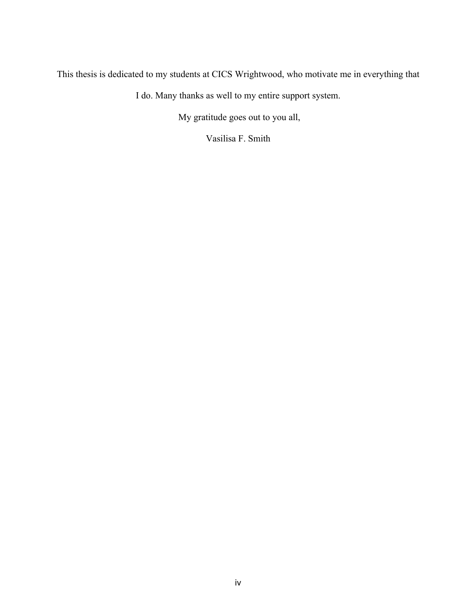This thesis is dedicated to my students at CICS Wrightwood, who motivate me in everything that

I do. Many thanks as well to my entire support system.

My gratitude goes out to you all,

Vasilisa F. Smith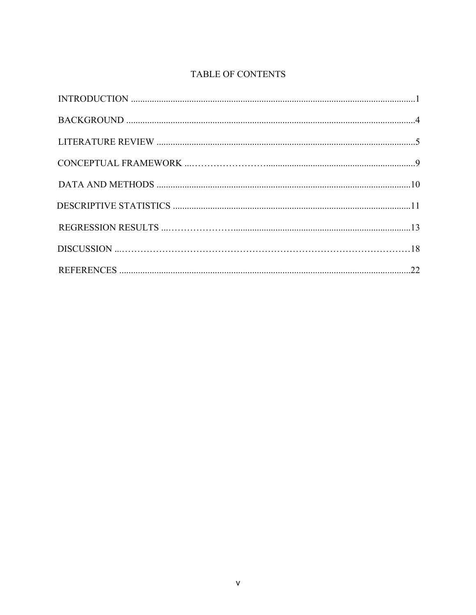# TABLE OF CONTENTS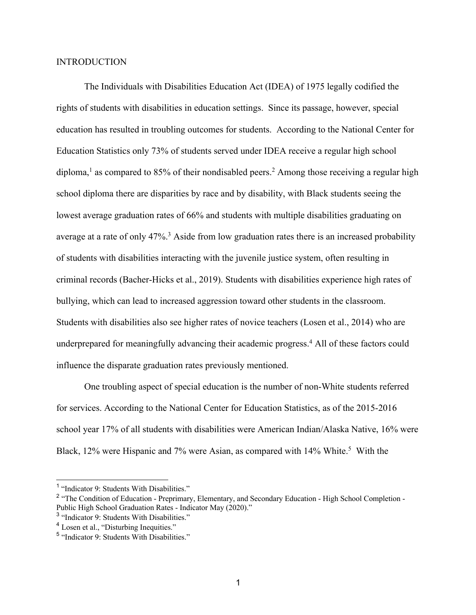#### INTRODUCTION

The Individuals with Disabilities Education Act (IDEA) of 1975 legally codified the rights of students with disabilities in education settings. Since its passage, however, special education has resulted in troubling outcomes for students. According to the National Center for Education Statistics only 73% of students served under IDEA receive a regular high school diploma, <sup>1</sup> as compared to 85% of their nondisabled peers. <sup>2</sup> Among those receiving a regular high school diploma there are disparities by race and by disability, with Black students seeing the lowest average graduation rates of 66% and students with multiple disabilities graduating on average at a rate of only 47%.<sup>3</sup> Aside from low graduation rates there is an increased probability of students with disabilities interacting with the juvenile justice system, often resulting in criminal records (Bacher-Hicks et al., 2019). Students with disabilities experience high rates of bullying, which can lead to increased aggression toward other students in the classroom. Students with disabilities also see higher rates of novice teachers (Losen et al., 2014) who are underprepared for meaningfully advancing their academic progress. <sup>4</sup> All of these factors could influence the disparate graduation rates previously mentioned.

One troubling aspect of special education is the number of non-White students referred for services. According to the National Center for Education Statistics, as of the 2015-2016 school year 17% of all students with disabilities were American Indian/Alaska Native, 16% were Black, 12% were Hispanic and 7% were Asian, as compared with 14% White.<sup>5</sup> With the

<sup>&</sup>lt;sup>1</sup> "Indicator 9: Students With Disabilities."

<sup>&</sup>lt;sup>2</sup> "The Condition of Education - Preprimary, Elementary, and Secondary Education - High School Completion -Public High School Graduation Rates - Indicator May (2020)."

<sup>3</sup> "Indicator 9: Students With Disabilities."

<sup>&</sup>lt;sup>4</sup> Losen et al., "Disturbing Inequities."

<sup>5</sup> "Indicator 9: Students With Disabilities."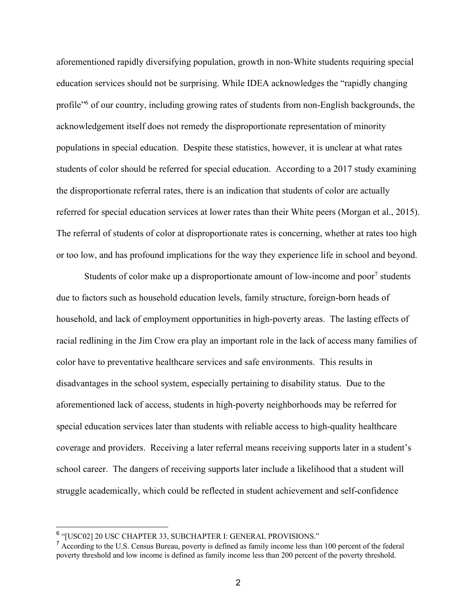aforementioned rapidly diversifying population, growth in non-White students requiring special education services should not be surprising. While IDEA acknowledges the "rapidly changing profile"6 of our country, including growing rates of students from non-English backgrounds, the acknowledgement itself does not remedy the disproportionate representation of minority populations in special education. Despite these statistics, however, it is unclear at what rates students of color should be referred for special education. According to a 2017 study examining the disproportionate referral rates, there is an indication that students of color are actually referred for special education services at lower rates than their White peers (Morgan et al., 2015). The referral of students of color at disproportionate rates is concerning, whether at rates too high or too low, and has profound implications for the way they experience life in school and beyond.

Students of color make up a disproportionate amount of low-income and poor<sup>7</sup> students due to factors such as household education levels, family structure, foreign-born heads of household, and lack of employment opportunities in high-poverty areas. The lasting effects of racial redlining in the Jim Crow era play an important role in the lack of access many families of color have to preventative healthcare services and safe environments. This results in disadvantages in the school system, especially pertaining to disability status. Due to the aforementioned lack of access, students in high-poverty neighborhoods may be referred for special education services later than students with reliable access to high-quality healthcare coverage and providers. Receiving a later referral means receiving supports later in a student's school career. The dangers of receiving supports later include a likelihood that a student will struggle academically, which could be reflected in student achievement and self-confidence

<sup>6</sup> "[USC02] 20 USC CHAPTER 33, SUBCHAPTER I: GENERAL PROVISIONS."

 $<sup>7</sup>$  According to the U.S. Census Bureau, poverty is defined as family income less than 100 percent of the federal</sup> poverty threshold and low income is defined as family income less than 200 percent of the poverty threshold.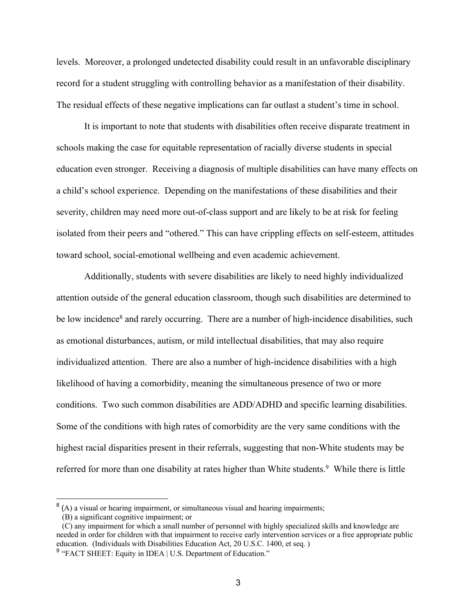levels. Moreover, a prolonged undetected disability could result in an unfavorable disciplinary record for a student struggling with controlling behavior as a manifestation of their disability. The residual effects of these negative implications can far outlast a student's time in school.

It is important to note that students with disabilities often receive disparate treatment in schools making the case for equitable representation of racially diverse students in special education even stronger. Receiving a diagnosis of multiple disabilities can have many effects on a child's school experience. Depending on the manifestations of these disabilities and their severity, children may need more out-of-class support and are likely to be at risk for feeling isolated from their peers and "othered." This can have crippling effects on self-esteem, attitudes toward school, social-emotional wellbeing and even academic achievement.

Additionally, students with severe disabilities are likely to need highly individualized attention outside of the general education classroom, though such disabilities are determined to be low incidence<sup>8</sup> and rarely occurring. There are a number of high-incidence disabilities, such as emotional disturbances, autism, or mild intellectual disabilities, that may also require individualized attention. There are also a number of high-incidence disabilities with a high likelihood of having a comorbidity, meaning the simultaneous presence of two or more conditions. Two such common disabilities are ADD/ADHD and specific learning disabilities. Some of the conditions with high rates of comorbidity are the very same conditions with the highest racial disparities present in their referrals, suggesting that non-White students may be referred for more than one disability at rates higher than White students.<sup>9</sup> While there is little

 $8$  (A) a visual or hearing impairment, or simultaneous visual and hearing impairments;

 <sup>(</sup>B) a significant cognitive impairment; or

 <sup>(</sup>C) any impairment for which a small number of personnel with highly specialized skills and knowledge are needed in order for children with that impairment to receive early intervention services or a free appropriate public education. (Individuals with Disabilities Education Act, 20 U.S.C. 1400, et seq. )

<sup>&</sup>lt;sup>9</sup> "FACT SHEET: Equity in IDEA | U.S. Department of Education."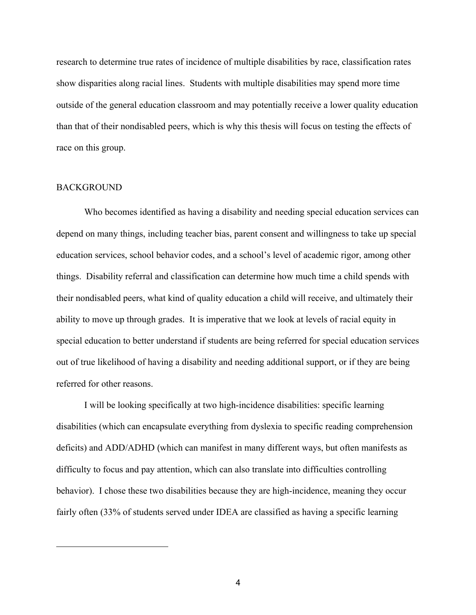research to determine true rates of incidence of multiple disabilities by race, classification rates show disparities along racial lines. Students with multiple disabilities may spend more time outside of the general education classroom and may potentially receive a lower quality education than that of their nondisabled peers, which is why this thesis will focus on testing the effects of race on this group.

#### BACKGROUND

Who becomes identified as having a disability and needing special education services can depend on many things, including teacher bias, parent consent and willingness to take up special education services, school behavior codes, and a school's level of academic rigor, among other things. Disability referral and classification can determine how much time a child spends with their nondisabled peers, what kind of quality education a child will receive, and ultimately their ability to move up through grades. It is imperative that we look at levels of racial equity in special education to better understand if students are being referred for special education services out of true likelihood of having a disability and needing additional support, or if they are being referred for other reasons.

I will be looking specifically at two high-incidence disabilities: specific learning disabilities (which can encapsulate everything from dyslexia to specific reading comprehension deficits) and ADD/ADHD (which can manifest in many different ways, but often manifests as difficulty to focus and pay attention, which can also translate into difficulties controlling behavior). I chose these two disabilities because they are high-incidence, meaning they occur fairly often (33% of students served under IDEA are classified as having a specific learning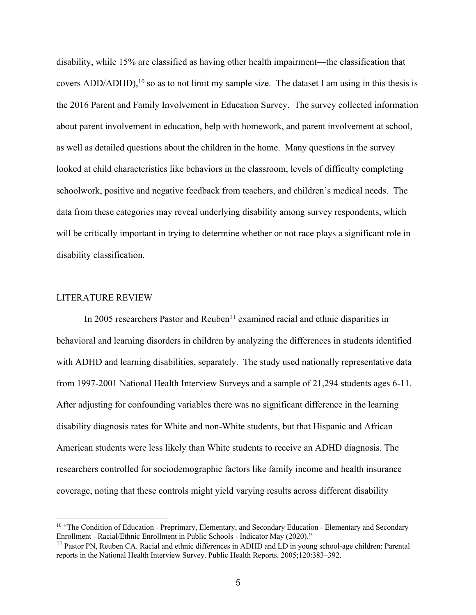disability, while 15% are classified as having other health impairment—the classification that covers ADD/ADHD),<sup>10</sup> so as to not limit my sample size. The dataset I am using in this thesis is the 2016 Parent and Family Involvement in Education Survey. The survey collected information about parent involvement in education, help with homework, and parent involvement at school, as well as detailed questions about the children in the home. Many questions in the survey looked at child characteristics like behaviors in the classroom, levels of difficulty completing schoolwork, positive and negative feedback from teachers, and children's medical needs. The data from these categories may reveal underlying disability among survey respondents, which will be critically important in trying to determine whether or not race plays a significant role in disability classification.

#### LITERATURE REVIEW

In 2005 researchers Pastor and Reuben<sup>11</sup> examined racial and ethnic disparities in behavioral and learning disorders in children by analyzing the differences in students identified with ADHD and learning disabilities, separately. The study used nationally representative data from 1997-2001 National Health Interview Surveys and a sample of 21,294 students ages 6-11. After adjusting for confounding variables there was no significant difference in the learning disability diagnosis rates for White and non-White students, but that Hispanic and African American students were less likely than White students to receive an ADHD diagnosis. The researchers controlled for sociodemographic factors like family income and health insurance coverage, noting that these controls might yield varying results across different disability

<sup>&</sup>lt;sup>10</sup> "The Condition of Education - Preprimary, Elementary, and Secondary Education - Elementary and Secondary Enrollment - Racial/Ethnic Enrollment in Public Schools - Indicator May (2020)."

<sup>&</sup>lt;sup>11</sup> Pastor PN, Reuben CA. Racial and ethnic differences in ADHD and LD in young school-age children: Parental reports in the National Health Interview Survey. Public Health Reports. 2005;120:383–392.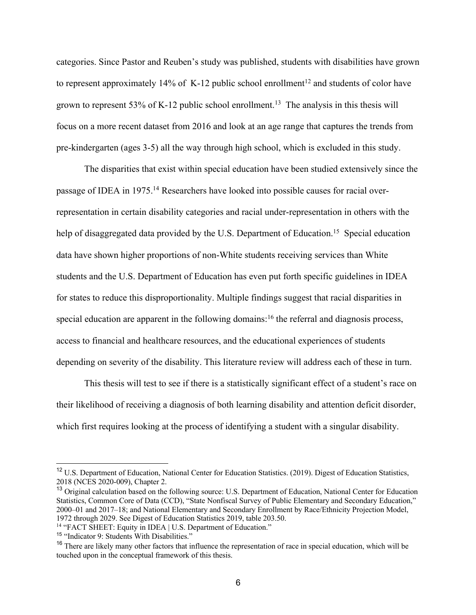categories. Since Pastor and Reuben's study was published, students with disabilities have grown to represent approximately 14% of K-12 public school enrollment<sup>12</sup> and students of color have grown to represent 53% of K-12 public school enrollment.<sup>13</sup> The analysis in this thesis will focus on a more recent dataset from 2016 and look at an age range that captures the trends from pre-kindergarten (ages 3-5) all the way through high school, which is excluded in this study.

The disparities that exist within special education have been studied extensively since the passage of IDEA in 1975.<sup>14</sup> Researchers have looked into possible causes for racial overrepresentation in certain disability categories and racial under-representation in others with the help of disaggregated data provided by the U.S. Department of Education.<sup>15</sup> Special education data have shown higher proportions of non-White students receiving services than White students and the U.S. Department of Education has even put forth specific guidelines in IDEA for states to reduce this disproportionality. Multiple findings suggest that racial disparities in special education are apparent in the following domains:<sup>16</sup> the referral and diagnosis process, access to financial and healthcare resources, and the educational experiences of students depending on severity of the disability. This literature review will address each of these in turn.

This thesis will test to see if there is a statistically significant effect of a student's race on their likelihood of receiving a diagnosis of both learning disability and attention deficit disorder, which first requires looking at the process of identifying a student with a singular disability.

<sup>&</sup>lt;sup>12</sup> U.S. Department of Education, National Center for Education Statistics. (2019). Digest of Education Statistics, 2018 (NCES 2020-009), Chapter 2.

<sup>&</sup>lt;sup>13</sup> Original calculation based on the following source: U.S. Department of Education, National Center for Education Statistics, Common Core of Data (CCD), "State Nonfiscal Survey of Public Elementary and Secondary Education," 2000–01 and 2017–18; and National Elementary and Secondary Enrollment by Race/Ethnicity Projection Model, 1972 through 2029. See Digest of Education Statistics 2019, table 203.50.

<sup>&</sup>lt;sup>14</sup> "FACT SHEET: Equity in IDEA | U.S. Department of Education."

<sup>&</sup>lt;sup>15</sup> "Indicator 9: Students With Disabilities."

<sup>&</sup>lt;sup>16</sup> There are likely many other factors that influence the representation of race in special education, which will be touched upon in the conceptual framework of this thesis.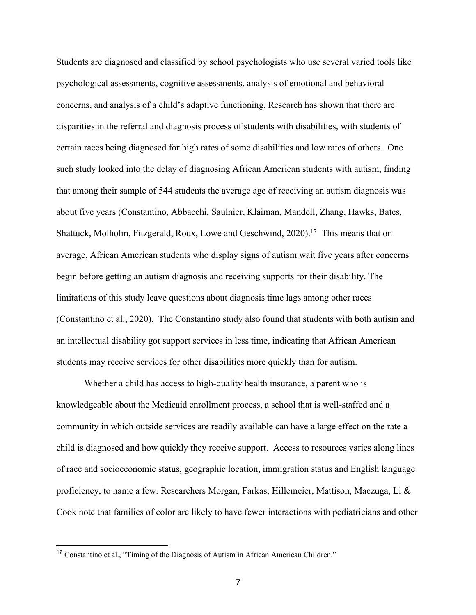Students are diagnosed and classified by school psychologists who use several varied tools like psychological assessments, cognitive assessments, analysis of emotional and behavioral concerns, and analysis of a child's adaptive functioning. Research has shown that there are disparities in the referral and diagnosis process of students with disabilities, with students of certain races being diagnosed for high rates of some disabilities and low rates of others. One such study looked into the delay of diagnosing African American students with autism, finding that among their sample of 544 students the average age of receiving an autism diagnosis was about five years (Constantino, Abbacchi, Saulnier, Klaiman, Mandell, Zhang, Hawks, Bates, Shattuck, Molholm, Fitzgerald, Roux, Lowe and Geschwind, 2020).<sup>17</sup> This means that on average, African American students who display signs of autism wait five years after concerns begin before getting an autism diagnosis and receiving supports for their disability. The limitations of this study leave questions about diagnosis time lags among other races (Constantino et al., 2020). The Constantino study also found that students with both autism and an intellectual disability got support services in less time, indicating that African American students may receive services for other disabilities more quickly than for autism.

Whether a child has access to high-quality health insurance, a parent who is knowledgeable about the Medicaid enrollment process, a school that is well-staffed and a community in which outside services are readily available can have a large effect on the rate a child is diagnosed and how quickly they receive support. Access to resources varies along lines of race and socioeconomic status, geographic location, immigration status and English language proficiency, to name a few. Researchers Morgan, Farkas, Hillemeier, Mattison, Maczuga, Li & Cook note that families of color are likely to have fewer interactions with pediatricians and other

<sup>17</sup> Constantino et al., "Timing of the Diagnosis of Autism in African American Children."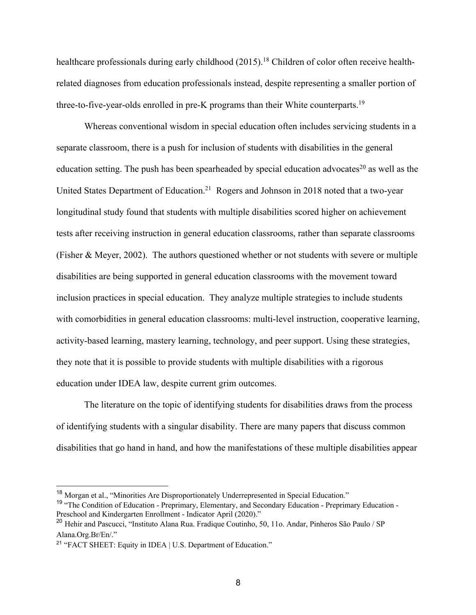healthcare professionals during early childhood (2015).<sup>18</sup> Children of color often receive healthrelated diagnoses from education professionals instead, despite representing a smaller portion of three-to-five-year-olds enrolled in pre-K programs than their White counterparts.<sup>19</sup>

Whereas conventional wisdom in special education often includes servicing students in a separate classroom, there is a push for inclusion of students with disabilities in the general education setting. The push has been spearheaded by special education advocates<sup>20</sup> as well as the United States Department of Education.<sup>21</sup> Rogers and Johnson in 2018 noted that a two-year longitudinal study found that students with multiple disabilities scored higher on achievement tests after receiving instruction in general education classrooms, rather than separate classrooms (Fisher & Meyer, 2002). The authors questioned whether or not students with severe or multiple disabilities are being supported in general education classrooms with the movement toward inclusion practices in special education. They analyze multiple strategies to include students with comorbidities in general education classrooms: multi-level instruction, cooperative learning, activity-based learning, mastery learning, technology, and peer support. Using these strategies, they note that it is possible to provide students with multiple disabilities with a rigorous education under IDEA law, despite current grim outcomes.

The literature on the topic of identifying students for disabilities draws from the process of identifying students with a singular disability. There are many papers that discuss common disabilities that go hand in hand, and how the manifestations of these multiple disabilities appear

<sup>&</sup>lt;sup>18</sup> Morgan et al., "Minorities Are Disproportionately Underrepresented in Special Education."

<sup>&</sup>lt;sup>19</sup> "The Condition of Education - Preprimary, Elementary, and Secondary Education - Preprimary Education -Preschool and Kindergarten Enrollment - Indicator April (2020)."

<sup>20</sup> Hehir and Pascucci, "Instituto Alana Rua. Fradique Coutinho, 50, 11o. Andar, Pinheros São Paulo / SP Alana.Org.Br/En/."

<sup>21</sup> "FACT SHEET: Equity in IDEA | U.S. Department of Education."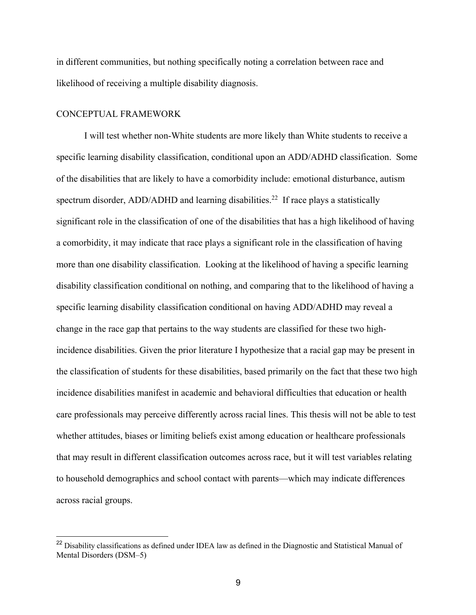in different communities, but nothing specifically noting a correlation between race and likelihood of receiving a multiple disability diagnosis.

#### CONCEPTUAL FRAMEWORK

I will test whether non-White students are more likely than White students to receive a specific learning disability classification, conditional upon an ADD/ADHD classification. Some of the disabilities that are likely to have a comorbidity include: emotional disturbance, autism spectrum disorder, ADD/ADHD and learning disabilities.<sup>22</sup> If race plays a statistically significant role in the classification of one of the disabilities that has a high likelihood of having a comorbidity, it may indicate that race plays a significant role in the classification of having more than one disability classification. Looking at the likelihood of having a specific learning disability classification conditional on nothing, and comparing that to the likelihood of having a specific learning disability classification conditional on having ADD/ADHD may reveal a change in the race gap that pertains to the way students are classified for these two highincidence disabilities. Given the prior literature I hypothesize that a racial gap may be present in the classification of students for these disabilities, based primarily on the fact that these two high incidence disabilities manifest in academic and behavioral difficulties that education or health care professionals may perceive differently across racial lines. This thesis will not be able to test whether attitudes, biases or limiting beliefs exist among education or healthcare professionals that may result in different classification outcomes across race, but it will test variables relating to household demographics and school contact with parents—which may indicate differences across racial groups.

<sup>&</sup>lt;sup>22</sup> Disability classifications as defined under IDEA law as defined in the Diagnostic and Statistical Manual of Mental Disorders (DSM–5)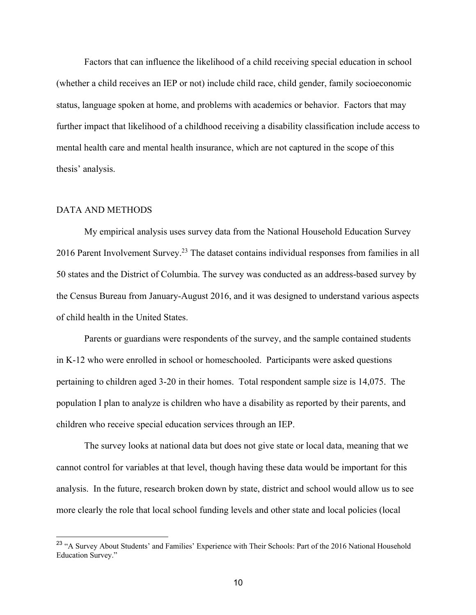Factors that can influence the likelihood of a child receiving special education in school (whether a child receives an IEP or not) include child race, child gender, family socioeconomic status, language spoken at home, and problems with academics or behavior. Factors that may further impact that likelihood of a childhood receiving a disability classification include access to mental health care and mental health insurance, which are not captured in the scope of this thesis' analysis.

### DATA AND METHODS

My empirical analysis uses survey data from the National Household Education Survey 2016 Parent Involvement Survey.<sup>23</sup> The dataset contains individual responses from families in all 50 states and the District of Columbia. The survey was conducted as an address-based survey by the Census Bureau from January-August 2016, and it was designed to understand various aspects of child health in the United States.

Parents or guardians were respondents of the survey, and the sample contained students in K-12 who were enrolled in school or homeschooled. Participants were asked questions pertaining to children aged 3-20 in their homes. Total respondent sample size is 14,075. The population I plan to analyze is children who have a disability as reported by their parents, and children who receive special education services through an IEP.

The survey looks at national data but does not give state or local data, meaning that we cannot control for variables at that level, though having these data would be important for this analysis. In the future, research broken down by state, district and school would allow us to see more clearly the role that local school funding levels and other state and local policies (local

<sup>&</sup>lt;sup>23</sup> "A Survey About Students' and Families' Experience with Their Schools: Part of the 2016 National Household Education Survey."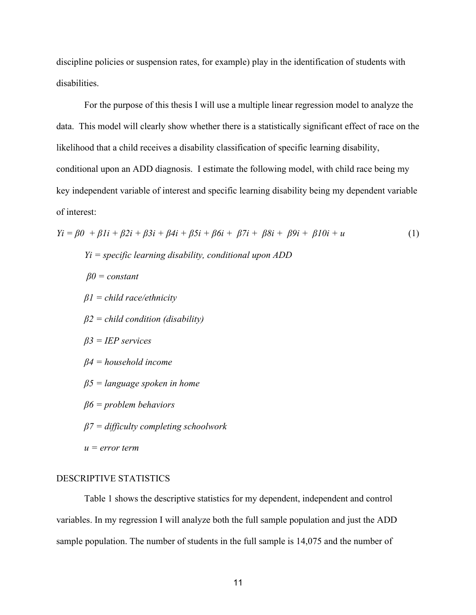discipline policies or suspension rates, for example) play in the identification of students with disabilities.

For the purpose of this thesis I will use a multiple linear regression model to analyze the data. This model will clearly show whether there is a statistically significant effect of race on the likelihood that a child receives a disability classification of specific learning disability, conditional upon an ADD diagnosis. I estimate the following model, with child race being my key independent variable of interest and specific learning disability being my dependent variable of interest:

$$
Yi = \beta 0 + \beta 1i + \beta 2i + \beta 3i + \beta 4i + \beta 5i + \beta 6i + \beta 7i + \beta 8i + \beta 9i + \beta 10i + u
$$
\n
$$
Yi = \text{specific learning disability, conditional upon ADD}
$$
\n
$$
\beta 0 = \text{constant}
$$
\n
$$
\beta 1 = \text{child race/ethnicity}
$$
\n
$$
\beta 2 = \text{child condition (disability)}
$$
\n
$$
\beta 3 = \text{IEP services}
$$
\n
$$
\beta 4 = \text{household income}
$$
\n
$$
\beta 5 = \text{language spoken in home}
$$
\n
$$
\beta 6 = \text{problem behaviors}
$$
\n
$$
\beta 7 = \text{diffically completing schoolwork}
$$
\n
$$
u = \text{error term}
$$
\n(1)

#### DESCRIPTIVE STATISTICS

Table 1 shows the descriptive statistics for my dependent, independent and control variables. In my regression I will analyze both the full sample population and just the ADD sample population. The number of students in the full sample is 14,075 and the number of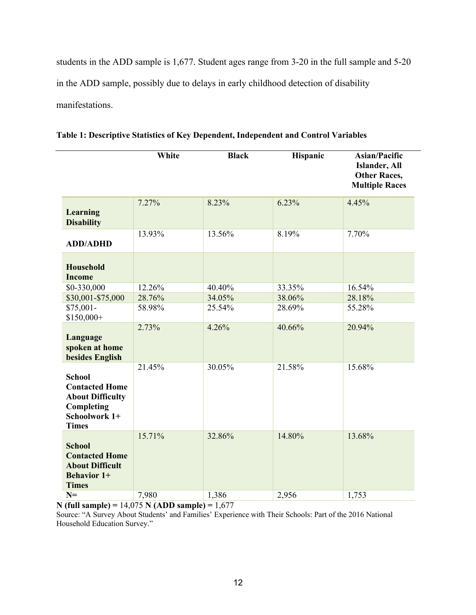students in the ADD sample is 1,677. Student ages range from 3-20 in the full sample and 5-20 in the ADD sample, possibly due to delays in early childhood detection of disability manifestations.

|                                                                                                                  | White  | <b>Black</b> | Hispanic | <b>Asian/Pacific</b><br>Islander, All<br><b>Other Races,</b><br><b>Multiple Races</b> |
|------------------------------------------------------------------------------------------------------------------|--------|--------------|----------|---------------------------------------------------------------------------------------|
| Learning<br><b>Disability</b>                                                                                    | 7.27%  | 8.23%        | 6.23%    | 4.45%                                                                                 |
| <b>ADD/ADHD</b>                                                                                                  | 13.93% | 13.56%       | 8.19%    | 7.70%                                                                                 |
| <b>Household</b><br><b>Income</b>                                                                                |        |              |          |                                                                                       |
| \$0-330,000                                                                                                      | 12.26% | 40.40%       | 33.35%   | 16.54%                                                                                |
| \$30,001-\$75,000                                                                                                | 28.76% | 34.05%       | 38.06%   | 28.18%                                                                                |
| \$75,001-<br>\$150,000+                                                                                          | 58.98% | 25.54%       | 28.69%   | 55.28%                                                                                |
| Language<br>spoken at home<br>besides English                                                                    | 2.73%  | 4.26%        | 40.66%   | 20.94%                                                                                |
| <b>School</b><br><b>Contacted Home</b><br><b>About Difficulty</b><br>Completing<br>Schoolwork 1+<br><b>Times</b> | 21.45% | 30.05%       | 21.58%   | 15.68%                                                                                |
| <b>School</b><br><b>Contacted Home</b><br><b>About Difficult</b><br><b>Behavior 1+</b><br><b>Times</b>           | 15.71% | 32.86%       | 14.80%   | 13.68%                                                                                |
| $N=$                                                                                                             | 7,980  | 1,386        | 2,956    | 1,753                                                                                 |

**Table 1: Descriptive Statistics of Key Dependent, Independent and Control Variables** 

**N (full sample) =** 14,075 **N (ADD sample) =** 1,677

Source: "A Survey About Students' and Families' Experience with Their Schools: Part of the 2016 National Household Education Survey."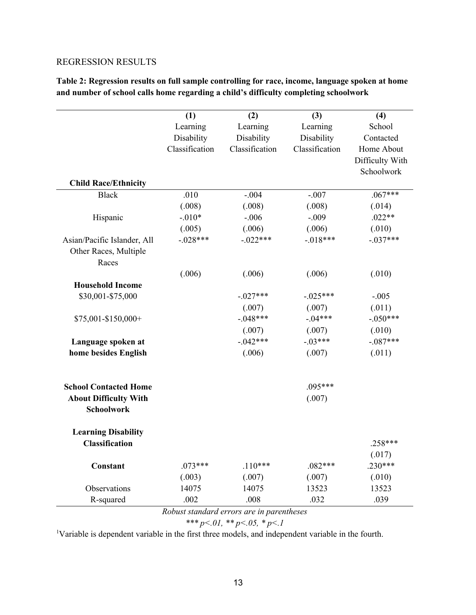## REGRESSION RESULTS

**Table 2: Regression results on full sample controlling for race, income, language spoken at home and number of school calls home regarding a child's difficulty completing schoolwork**

|                              | (1)            | (2)                    | (3)                  | (4)             |  |
|------------------------------|----------------|------------------------|----------------------|-----------------|--|
|                              | Learning       | Learning               | Learning             | School          |  |
|                              | Disability     | Disability             | Disability           | Contacted       |  |
|                              | Classification | Classification         | Classification       | Home About      |  |
|                              |                |                        |                      | Difficulty With |  |
|                              |                |                        |                      | Schoolwork      |  |
| <b>Child Race/Ethnicity</b>  |                |                        |                      |                 |  |
| <b>Black</b>                 | .010           | $-.004$                | $.067***$<br>$-.007$ |                 |  |
|                              | (.008)         | (.008)                 | (.008)               | (.014)          |  |
| Hispanic                     | $-.010*$       | $-.006$                | $-.009$              | $.022**$        |  |
|                              | (.005)         | (.006)                 | (.006)               | (.010)          |  |
| Asian/Pacific Islander, All  | $-.028***$     | $-.022***$             | $-.018***$           | $-.037***$      |  |
| Other Races, Multiple        |                |                        |                      |                 |  |
| Races                        |                |                        |                      |                 |  |
|                              | (.006)         | (.006)                 | (.006)               | (.010)          |  |
| <b>Household Income</b>      |                |                        |                      |                 |  |
| \$30,001-\$75,000            |                | $-.027***$             | $-.025***$           | $-.005$         |  |
|                              |                | (.007)                 | (.007)               | (.011)          |  |
| \$75,001-\$150,000+          |                | $-.048***$             | $-.04***$            | $-.050***$      |  |
|                              |                | (.007)                 | (.007)               | (.010)          |  |
| Language spoken at           |                | $-.042***$             | $-.03***$            | $-.087***$      |  |
| home besides English         |                | (.006)<br>(.007)       |                      | (.011)          |  |
| <b>School Contacted Home</b> |                |                        | $.095***$            |                 |  |
| <b>About Difficulty With</b> |                |                        | (.007)               |                 |  |
| <b>Schoolwork</b>            |                |                        |                      |                 |  |
| <b>Learning Disability</b>   |                |                        |                      |                 |  |
| <b>Classification</b>        |                |                        |                      | $.258***$       |  |
|                              |                |                        |                      | (.017)          |  |
| Constant                     | $.073***$      | $.110***$<br>$.082***$ |                      | $.230***$       |  |
|                              | (.003)         | (.007)                 | (.007)               | (.010)          |  |
| Observations                 | 14075          | 14075                  | 13523                | 13523           |  |
| R-squared                    | .002           | .008                   | .032                 | .039            |  |

*Robust standard errors are in parentheses*

$$
*** p<.01, ** p<.05, * p<.1
$$

<sup>1</sup>Variable is dependent variable in the first three models, and independent variable in the fourth.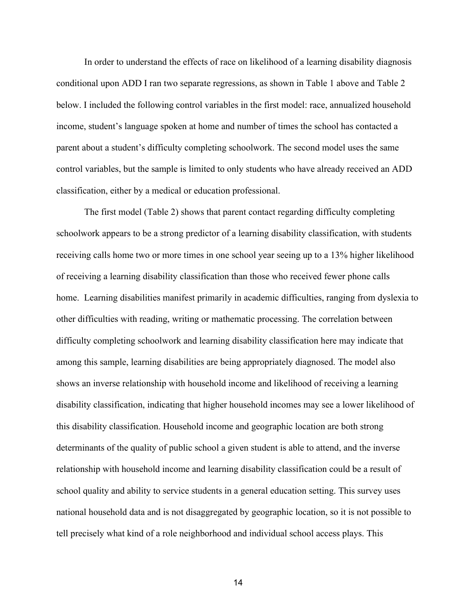In order to understand the effects of race on likelihood of a learning disability diagnosis conditional upon ADD I ran two separate regressions, as shown in Table 1 above and Table 2 below. I included the following control variables in the first model: race, annualized household income, student's language spoken at home and number of times the school has contacted a parent about a student's difficulty completing schoolwork. The second model uses the same control variables, but the sample is limited to only students who have already received an ADD classification, either by a medical or education professional.

The first model (Table 2) shows that parent contact regarding difficulty completing schoolwork appears to be a strong predictor of a learning disability classification, with students receiving calls home two or more times in one school year seeing up to a 13% higher likelihood of receiving a learning disability classification than those who received fewer phone calls home. Learning disabilities manifest primarily in academic difficulties, ranging from dyslexia to other difficulties with reading, writing or mathematic processing. The correlation between difficulty completing schoolwork and learning disability classification here may indicate that among this sample, learning disabilities are being appropriately diagnosed. The model also shows an inverse relationship with household income and likelihood of receiving a learning disability classification, indicating that higher household incomes may see a lower likelihood of this disability classification. Household income and geographic location are both strong determinants of the quality of public school a given student is able to attend, and the inverse relationship with household income and learning disability classification could be a result of school quality and ability to service students in a general education setting. This survey uses national household data and is not disaggregated by geographic location, so it is not possible to tell precisely what kind of a role neighborhood and individual school access plays. This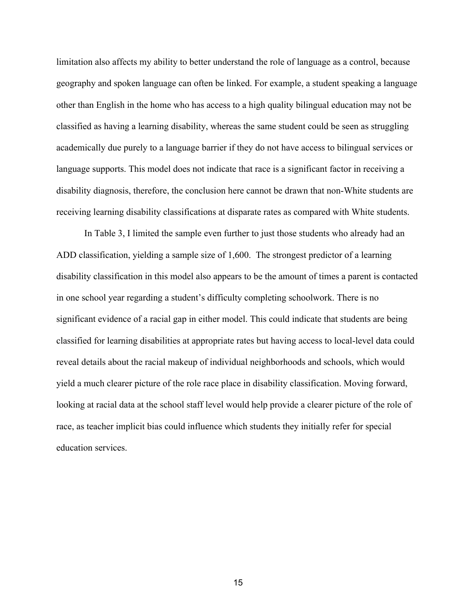limitation also affects my ability to better understand the role of language as a control, because geography and spoken language can often be linked. For example, a student speaking a language other than English in the home who has access to a high quality bilingual education may not be classified as having a learning disability, whereas the same student could be seen as struggling academically due purely to a language barrier if they do not have access to bilingual services or language supports. This model does not indicate that race is a significant factor in receiving a disability diagnosis, therefore, the conclusion here cannot be drawn that non-White students are receiving learning disability classifications at disparate rates as compared with White students.

In Table 3, I limited the sample even further to just those students who already had an ADD classification, yielding a sample size of 1,600. The strongest predictor of a learning disability classification in this model also appears to be the amount of times a parent is contacted in one school year regarding a student's difficulty completing schoolwork. There is no significant evidence of a racial gap in either model. This could indicate that students are being classified for learning disabilities at appropriate rates but having access to local-level data could reveal details about the racial makeup of individual neighborhoods and schools, which would yield a much clearer picture of the role race place in disability classification. Moving forward, looking at racial data at the school staff level would help provide a clearer picture of the role of race, as teacher implicit bias could influence which students they initially refer for special education services.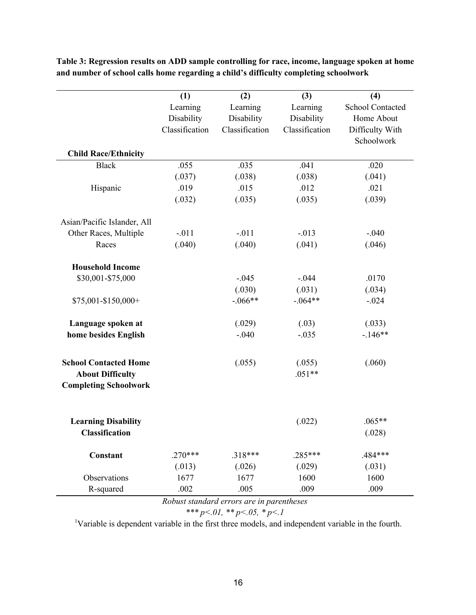|                              | (1)            | (2)            | (3)            | (4)              |
|------------------------------|----------------|----------------|----------------|------------------|
|                              | Learning       | Learning       | Learning       | School Contacted |
|                              | Disability     | Disability     | Disability     | Home About       |
|                              | Classification | Classification | Classification | Difficulty With  |
|                              |                |                |                | Schoolwork       |
| <b>Child Race/Ethnicity</b>  |                |                |                |                  |
| <b>Black</b>                 | .055           | .035           | .041           | .020             |
|                              | (.037)         | (.038)         | (.038)         | (.041)           |
| Hispanic                     | .019           | .015           | .012           | .021             |
|                              | (.032)         | (.035)         | (.035)         | (.039)           |
| Asian/Pacific Islander, All  |                |                |                |                  |
| Other Races, Multiple        | $-.011$        | $-.011$        | $-.013$        | $-.040$          |
| Races                        | (.040)         | (.040)         | (.041)         | (.046)           |
| <b>Household Income</b>      |                |                |                |                  |
| \$30,001-\$75,000            |                | $-.045$        | $-.044$        | .0170            |
|                              |                | (.030)         | (.031)         | (.034)           |
| \$75,001-\$150,000+          |                | $-.066**$      | $-.064**$      | $-.024$          |
| Language spoken at           |                | (.029)         | (.03)          | (.033)           |
| home besides English         |                | $-.040$        | $-.035$        | $-146**$         |
| <b>School Contacted Home</b> |                | (.055)         | (.055)         | (.060)           |
| <b>About Difficulty</b>      |                |                | $.051**$       |                  |
| <b>Completing Schoolwork</b> |                |                |                |                  |
|                              |                |                |                |                  |
| <b>Learning Disability</b>   |                |                | (.022)         | $.065**$         |
| <b>Classification</b>        |                |                |                | (.028)           |
| <b>Constant</b>              | $.270***$      | $.318***$      | $.285***$      | .484***          |
|                              | (.013)         | (.026)         | (.029)         | (.031)           |
| Observations                 | 1677           | 1677           | 1600           | 1600             |
| R-squared                    | .002           | .005           | .009           | .009             |

**Table 3: Regression results on ADD sample controlling for race, income, language spoken at home and number of school calls home regarding a child's difficulty completing schoolwork**

*Robust standard errors are in parentheses*

*\*\*\* p<.01, \*\* p<.05, \* p<.1*

<sup>1</sup>Variable is dependent variable in the first three models, and independent variable in the fourth.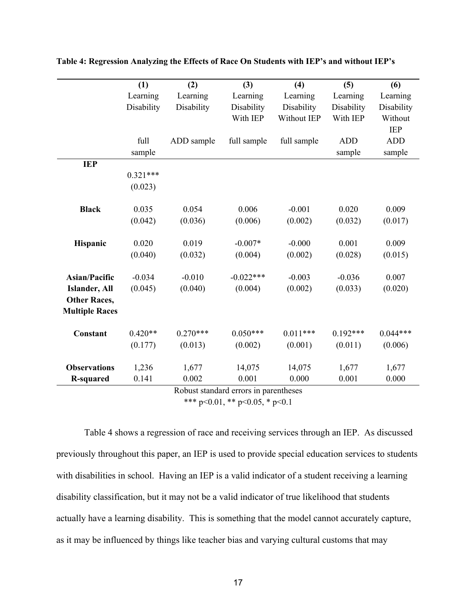|                       | (1)        | (2)        | $(3)$       | (4)         | (5)        | (6)        |
|-----------------------|------------|------------|-------------|-------------|------------|------------|
|                       | Learning   | Learning   | Learning    | Learning    | Learning   | Learning   |
|                       | Disability | Disability | Disability  | Disability  | Disability | Disability |
|                       |            |            | With IEP    | Without IEP | With IEP   | Without    |
|                       |            |            |             |             |            | <b>IEP</b> |
|                       | full       | ADD sample | full sample | full sample | <b>ADD</b> | <b>ADD</b> |
|                       | sample     |            |             |             | sample     | sample     |
| <b>IEP</b>            |            |            |             |             |            |            |
|                       | $0.321***$ |            |             |             |            |            |
|                       | (0.023)    |            |             |             |            |            |
|                       |            |            |             |             |            |            |
| <b>Black</b>          | 0.035      | 0.054      | 0.006       | $-0.001$    | 0.020      | 0.009      |
|                       | (0.042)    | (0.036)    | (0.006)     | (0.002)     | (0.032)    | (0.017)    |
| Hispanic              | 0.020      | 0.019      | $-0.007*$   | $-0.000$    | 0.001      | 0.009      |
|                       | (0.040)    | (0.032)    | (0.004)     | (0.002)     | (0.028)    | (0.015)    |
| <b>Asian/Pacific</b>  | $-0.034$   | $-0.010$   | $-0.022***$ | $-0.003$    | $-0.036$   | 0.007      |
| Islander, All         | (0.045)    | (0.040)    | (0.004)     | (0.002)     | (0.033)    | (0.020)    |
| <b>Other Races,</b>   |            |            |             |             |            |            |
| <b>Multiple Races</b> |            |            |             |             |            |            |
| Constant              | $0.420**$  | $0.270***$ | $0.050***$  | $0.011***$  | $0.192***$ | $0.044***$ |
|                       | (0.177)    | (0.013)    | (0.002)     | (0.001)     | (0.011)    | (0.006)    |
| <b>Observations</b>   | 1,236      | 1,677      | 14,075      | 14,075      | 1,677      | 1,677      |
| <b>R-squared</b>      | 0.141      | 0.002      | 0.001       | 0.000       | 0.001      | 0.000      |

**Table 4: Regression Analyzing the Effects of Race On Students with IEP's and without IEP's**

Robust standard errors in parentheses

\*\*\* p<0.01, \*\* p<0.05, \* p<0.1

Table 4 shows a regression of race and receiving services through an IEP. As discussed previously throughout this paper, an IEP is used to provide special education services to students with disabilities in school. Having an IEP is a valid indicator of a student receiving a learning disability classification, but it may not be a valid indicator of true likelihood that students actually have a learning disability. This is something that the model cannot accurately capture, as it may be influenced by things like teacher bias and varying cultural customs that may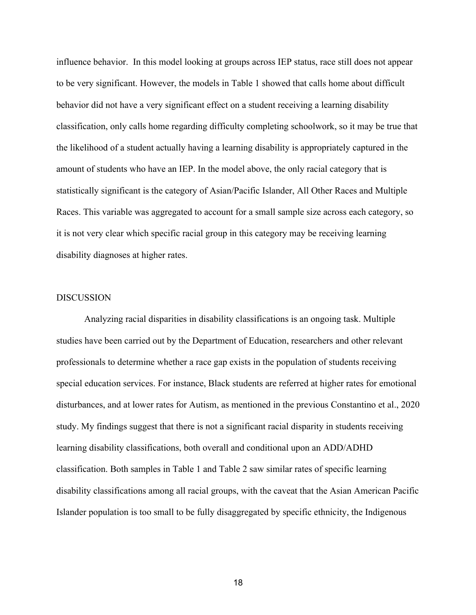influence behavior. In this model looking at groups across IEP status, race still does not appear to be very significant. However, the models in Table 1 showed that calls home about difficult behavior did not have a very significant effect on a student receiving a learning disability classification, only calls home regarding difficulty completing schoolwork, so it may be true that the likelihood of a student actually having a learning disability is appropriately captured in the amount of students who have an IEP. In the model above, the only racial category that is statistically significant is the category of Asian/Pacific Islander, All Other Races and Multiple Races. This variable was aggregated to account for a small sample size across each category, so it is not very clear which specific racial group in this category may be receiving learning disability diagnoses at higher rates.

#### **DISCUSSION**

Analyzing racial disparities in disability classifications is an ongoing task. Multiple studies have been carried out by the Department of Education, researchers and other relevant professionals to determine whether a race gap exists in the population of students receiving special education services. For instance, Black students are referred at higher rates for emotional disturbances, and at lower rates for Autism, as mentioned in the previous Constantino et al., 2020 study. My findings suggest that there is not a significant racial disparity in students receiving learning disability classifications, both overall and conditional upon an ADD/ADHD classification. Both samples in Table 1 and Table 2 saw similar rates of specific learning disability classifications among all racial groups, with the caveat that the Asian American Pacific Islander population is too small to be fully disaggregated by specific ethnicity, the Indigenous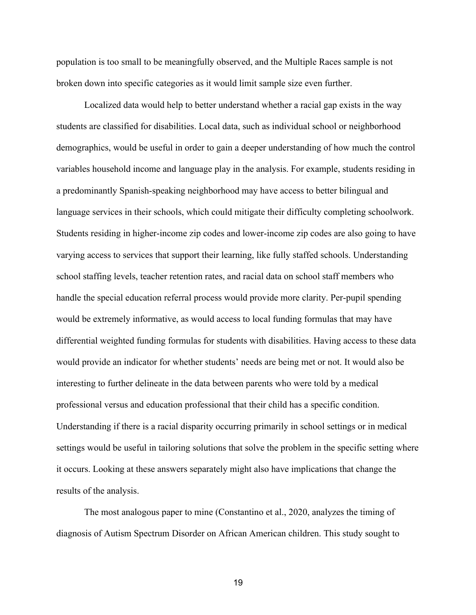population is too small to be meaningfully observed, and the Multiple Races sample is not broken down into specific categories as it would limit sample size even further.

Localized data would help to better understand whether a racial gap exists in the way students are classified for disabilities. Local data, such as individual school or neighborhood demographics, would be useful in order to gain a deeper understanding of how much the control variables household income and language play in the analysis. For example, students residing in a predominantly Spanish-speaking neighborhood may have access to better bilingual and language services in their schools, which could mitigate their difficulty completing schoolwork. Students residing in higher-income zip codes and lower-income zip codes are also going to have varying access to services that support their learning, like fully staffed schools. Understanding school staffing levels, teacher retention rates, and racial data on school staff members who handle the special education referral process would provide more clarity. Per-pupil spending would be extremely informative, as would access to local funding formulas that may have differential weighted funding formulas for students with disabilities. Having access to these data would provide an indicator for whether students' needs are being met or not. It would also be interesting to further delineate in the data between parents who were told by a medical professional versus and education professional that their child has a specific condition. Understanding if there is a racial disparity occurring primarily in school settings or in medical settings would be useful in tailoring solutions that solve the problem in the specific setting where it occurs. Looking at these answers separately might also have implications that change the results of the analysis.

The most analogous paper to mine (Constantino et al., 2020, analyzes the timing of diagnosis of Autism Spectrum Disorder on African American children. This study sought to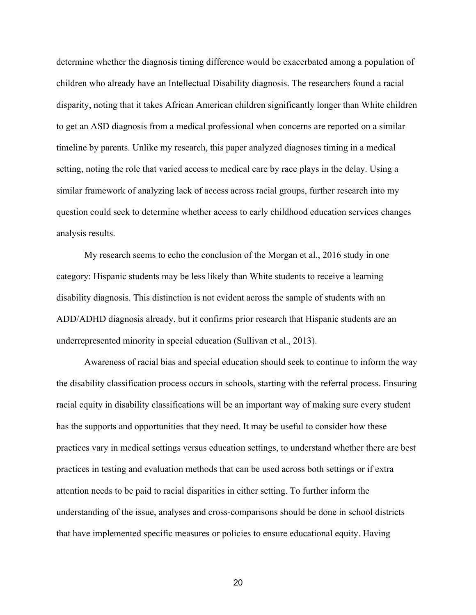determine whether the diagnosis timing difference would be exacerbated among a population of children who already have an Intellectual Disability diagnosis. The researchers found a racial disparity, noting that it takes African American children significantly longer than White children to get an ASD diagnosis from a medical professional when concerns are reported on a similar timeline by parents. Unlike my research, this paper analyzed diagnoses timing in a medical setting, noting the role that varied access to medical care by race plays in the delay. Using a similar framework of analyzing lack of access across racial groups, further research into my question could seek to determine whether access to early childhood education services changes analysis results.

My research seems to echo the conclusion of the Morgan et al., 2016 study in one category: Hispanic students may be less likely than White students to receive a learning disability diagnosis. This distinction is not evident across the sample of students with an ADD/ADHD diagnosis already, but it confirms prior research that Hispanic students are an underrepresented minority in special education (Sullivan et al., 2013).

Awareness of racial bias and special education should seek to continue to inform the way the disability classification process occurs in schools, starting with the referral process. Ensuring racial equity in disability classifications will be an important way of making sure every student has the supports and opportunities that they need. It may be useful to consider how these practices vary in medical settings versus education settings, to understand whether there are best practices in testing and evaluation methods that can be used across both settings or if extra attention needs to be paid to racial disparities in either setting. To further inform the understanding of the issue, analyses and cross-comparisons should be done in school districts that have implemented specific measures or policies to ensure educational equity. Having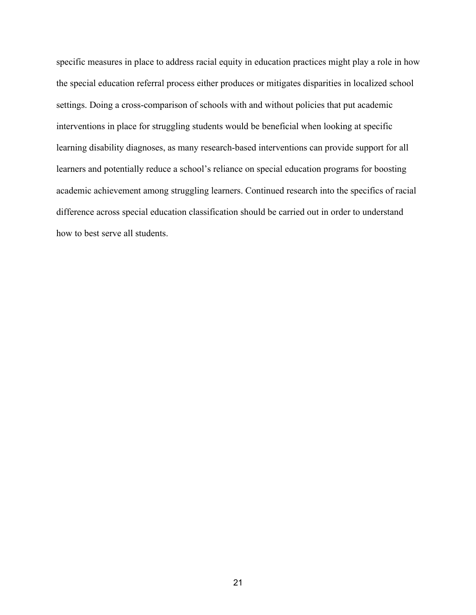specific measures in place to address racial equity in education practices might play a role in how the special education referral process either produces or mitigates disparities in localized school settings. Doing a cross-comparison of schools with and without policies that put academic interventions in place for struggling students would be beneficial when looking at specific learning disability diagnoses, as many research-based interventions can provide support for all learners and potentially reduce a school's reliance on special education programs for boosting academic achievement among struggling learners. Continued research into the specifics of racial difference across special education classification should be carried out in order to understand how to best serve all students.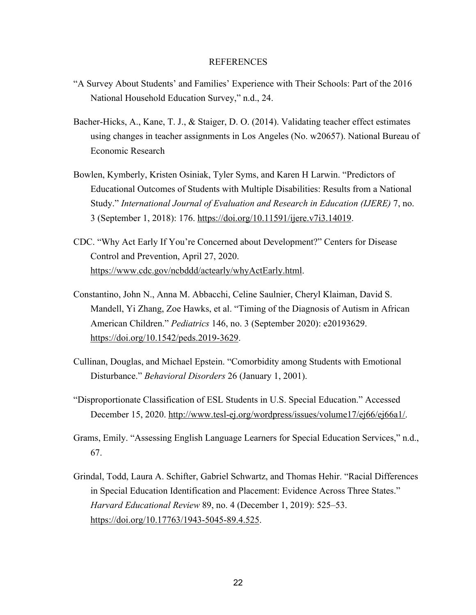#### REFERENCES

- "A Survey About Students' and Families' Experience with Their Schools: Part of the 2016 National Household Education Survey," n.d., 24.
- Bacher-Hicks, A., Kane, T. J., & Staiger, D. O. (2014). Validating teacher effect estimates using changes in teacher assignments in Los Angeles (No. w20657). National Bureau of Economic Research
- Bowlen, Kymberly, Kristen Osiniak, Tyler Syms, and Karen H Larwin. "Predictors of Educational Outcomes of Students with Multiple Disabilities: Results from a National Study." *International Journal of Evaluation and Research in Education (IJERE)* 7, no. 3 (September 1, 2018): 176. https://doi.org/10.11591/ijere.v7i3.14019.
- CDC. "Why Act Early If You're Concerned about Development?" Centers for Disease Control and Prevention, April 27, 2020. https://www.cdc.gov/ncbddd/actearly/whyActEarly.html.
- Constantino, John N., Anna M. Abbacchi, Celine Saulnier, Cheryl Klaiman, David S. Mandell, Yi Zhang, Zoe Hawks, et al. "Timing of the Diagnosis of Autism in African American Children." *Pediatrics* 146, no. 3 (September 2020): e20193629. https://doi.org/10.1542/peds.2019-3629.
- Cullinan, Douglas, and Michael Epstein. "Comorbidity among Students with Emotional Disturbance." *Behavioral Disorders* 26 (January 1, 2001).
- "Disproportionate Classification of ESL Students in U.S. Special Education." Accessed December 15, 2020. http://www.tesl-ej.org/wordpress/issues/volume17/ej66/ej66a1/.
- Grams, Emily. "Assessing English Language Learners for Special Education Services," n.d., 67.
- Grindal, Todd, Laura A. Schifter, Gabriel Schwartz, and Thomas Hehir. "Racial Differences in Special Education Identification and Placement: Evidence Across Three States." *Harvard Educational Review* 89, no. 4 (December 1, 2019): 525–53. https://doi.org/10.17763/1943-5045-89.4.525.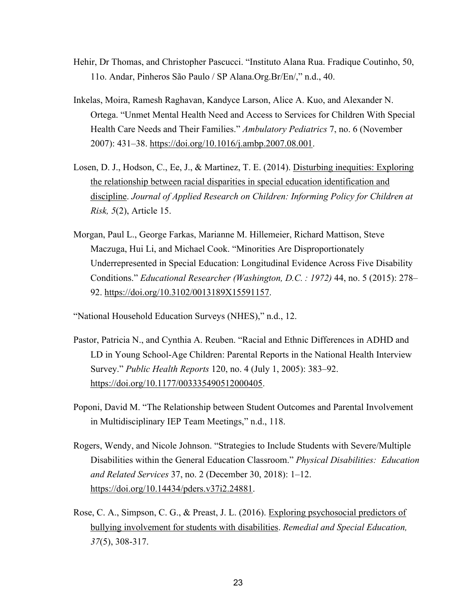- Hehir, Dr Thomas, and Christopher Pascucci. "Instituto Alana Rua. Fradique Coutinho, 50, 11o. Andar, Pinheros São Paulo / SP Alana.Org.Br/En/," n.d., 40.
- Inkelas, Moira, Ramesh Raghavan, Kandyce Larson, Alice A. Kuo, and Alexander N. Ortega. "Unmet Mental Health Need and Access to Services for Children With Special Health Care Needs and Their Families." *Ambulatory Pediatrics* 7, no. 6 (November 2007): 431–38. https://doi.org/10.1016/j.ambp.2007.08.001.
- Losen, D. J., Hodson, C., Ee, J., & Martinez, T. E. (2014). Disturbing inequities: Exploring the relationship between racial disparities in special education identification and discipline. *Journal of Applied Research on Children: Informing Policy for Children at Risk, 5*(2), Article 15.
- Morgan, Paul L., George Farkas, Marianne M. Hillemeier, Richard Mattison, Steve Maczuga, Hui Li, and Michael Cook. "Minorities Are Disproportionately Underrepresented in Special Education: Longitudinal Evidence Across Five Disability Conditions." *Educational Researcher (Washington, D.C. : 1972)* 44, no. 5 (2015): 278– 92. https://doi.org/10.3102/0013189X15591157.

"National Household Education Surveys (NHES)," n.d., 12.

- Pastor, Patricia N., and Cynthia A. Reuben. "Racial and Ethnic Differences in ADHD and LD in Young School-Age Children: Parental Reports in the National Health Interview Survey." *Public Health Reports* 120, no. 4 (July 1, 2005): 383–92. https://doi.org/10.1177/003335490512000405.
- Poponi, David M. "The Relationship between Student Outcomes and Parental Involvement in Multidisciplinary IEP Team Meetings," n.d., 118.
- Rogers, Wendy, and Nicole Johnson. "Strategies to Include Students with Severe/Multiple Disabilities within the General Education Classroom." *Physical Disabilities: Education and Related Services* 37, no. 2 (December 30, 2018): 1–12. https://doi.org/10.14434/pders.v37i2.24881.
- Rose, C. A., Simpson, C. G., & Preast, J. L. (2016). Exploring psychosocial predictors of bullying involvement for students with disabilities. *Remedial and Special Education, 37*(5), 308-317.